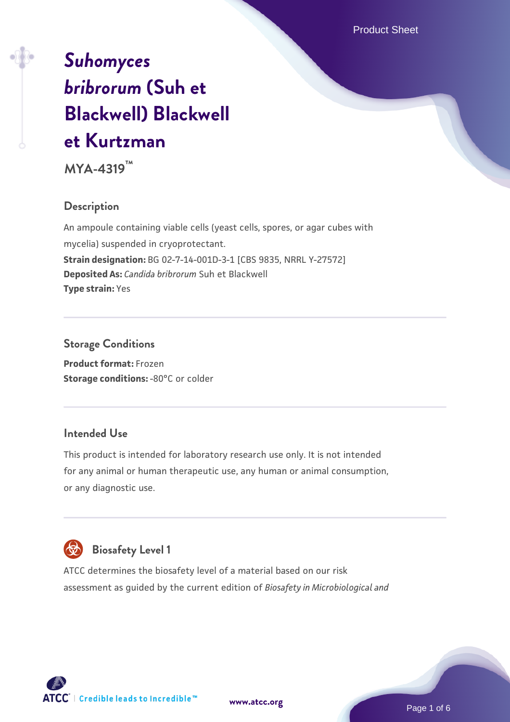# *[Suhomyces](https://www.atcc.org/products/mya-4319) [bribrorum](https://www.atcc.org/products/mya-4319)* **[\(Suh et](https://www.atcc.org/products/mya-4319) [Blackwell\) Blackwell](https://www.atcc.org/products/mya-4319) [et Kurtzman](https://www.atcc.org/products/mya-4319)**

**MYA-4319™**

# **Description**

An ampoule containing viable cells (yeast cells, spores, or agar cubes with mycelia) suspended in cryoprotectant. **Strain designation:** BG 02-7-14-001D-3-1 [CBS 9835, NRRL Y-27572] **Deposited As:** *Candida bribrorum* Suh et Blackwell **Type strain:** Yes

## **Storage Conditions**

**Product format:** Frozen **Storage conditions: -80°C or colder** 

#### **Intended Use**

This product is intended for laboratory research use only. It is not intended for any animal or human therapeutic use, any human or animal consumption, or any diagnostic use.



# **Biosafety Level 1**

ATCC determines the biosafety level of a material based on our risk assessment as guided by the current edition of *Biosafety in Microbiological and*

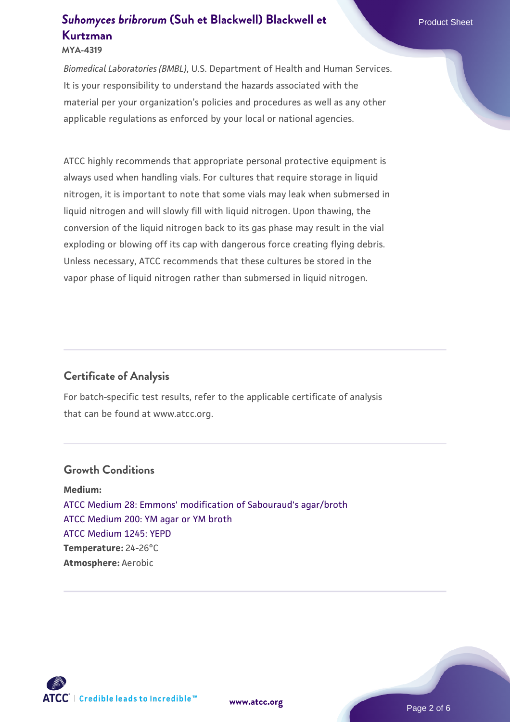# **[Suhomyces bribrorum](https://www.atcc.org/products/mya-4319) [\(Suh et Blackwell\) Blackwell et](https://www.atcc.org/products/mya-4319) Product Sheet [Kurtzman](https://www.atcc.org/products/mya-4319)**

#### **MYA-4319**

*Biomedical Laboratories (BMBL)*, U.S. Department of Health and Human Services. It is your responsibility to understand the hazards associated with the material per your organization's policies and procedures as well as any other applicable regulations as enforced by your local or national agencies.

ATCC highly recommends that appropriate personal protective equipment is always used when handling vials. For cultures that require storage in liquid nitrogen, it is important to note that some vials may leak when submersed in liquid nitrogen and will slowly fill with liquid nitrogen. Upon thawing, the conversion of the liquid nitrogen back to its gas phase may result in the vial exploding or blowing off its cap with dangerous force creating flying debris. Unless necessary, ATCC recommends that these cultures be stored in the vapor phase of liquid nitrogen rather than submersed in liquid nitrogen.

## **Certificate of Analysis**

For batch-specific test results, refer to the applicable certificate of analysis that can be found at www.atcc.org.

#### **Growth Conditions**

**Medium:**  [ATCC Medium 28: Emmons' modification of Sabouraud's agar/broth](https://www.atcc.org/-/media/product-assets/documents/microbial-media-formulations/2/8/atcc-medium-28.pdf?rev=0da0c58cc2a343eeae735016b70809bb) [ATCC Medium 200: YM agar or YM broth](https://www.atcc.org/-/media/product-assets/documents/microbial-media-formulations/2/0/0/atcc-medium-200.pdf?rev=ac40fd74dc13433a809367b0b9da30fc) [ATCC Medium 1245: YEPD](https://www.atcc.org/-/media/product-assets/documents/microbial-media-formulations/1/2/4/5/atcc-medium-1245.pdf?rev=705ca55d1b6f490a808a965d5c072196) **Temperature:** 24-26°C **Atmosphere:** Aerobic

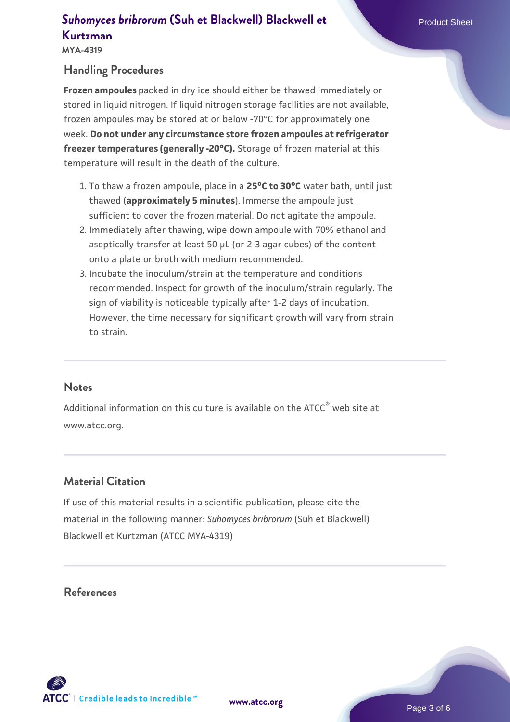**MYA-4319**

### **Handling Procedures**

**Frozen ampoules** packed in dry ice should either be thawed immediately or stored in liquid nitrogen. If liquid nitrogen storage facilities are not available, frozen ampoules may be stored at or below -70°C for approximately one week. **Do not under any circumstance store frozen ampoules at refrigerator freezer temperatures (generally -20°C).** Storage of frozen material at this temperature will result in the death of the culture.

- 1. To thaw a frozen ampoule, place in a **25°C to 30°C** water bath, until just thawed (**approximately 5 minutes**). Immerse the ampoule just sufficient to cover the frozen material. Do not agitate the ampoule.
- 2. Immediately after thawing, wipe down ampoule with 70% ethanol and aseptically transfer at least 50 µL (or 2-3 agar cubes) of the content onto a plate or broth with medium recommended.
- Incubate the inoculum/strain at the temperature and conditions 3. recommended. Inspect for growth of the inoculum/strain regularly. The sign of viability is noticeable typically after 1-2 days of incubation. However, the time necessary for significant growth will vary from strain to strain.

#### **Notes**

Additional information on this culture is available on the ATCC® web site at www.atcc.org.

## **Material Citation**

If use of this material results in a scientific publication, please cite the material in the following manner: *Suhomyces bribrorum* (Suh et Blackwell) Blackwell et Kurtzman (ATCC MYA-4319)

#### **References**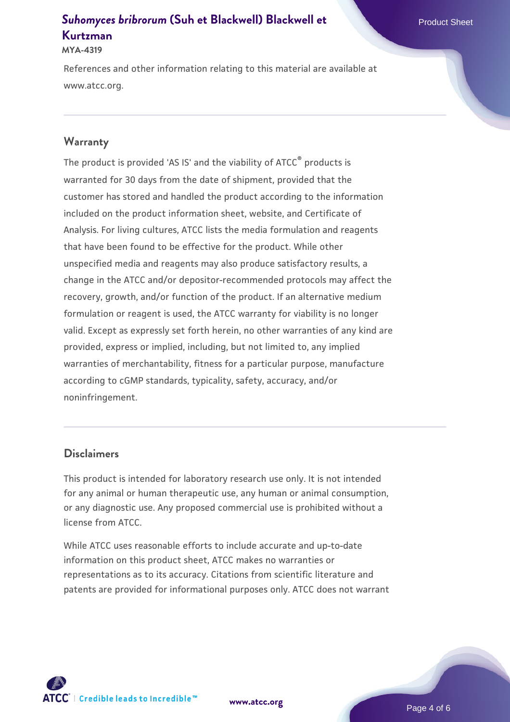# **[Suhomyces bribrorum](https://www.atcc.org/products/mya-4319) [\(Suh et Blackwell\) Blackwell et](https://www.atcc.org/products/mya-4319) Product Sheet [Kurtzman](https://www.atcc.org/products/mya-4319)**

#### **MYA-4319**

References and other information relating to this material are available at www.atcc.org.

#### **Warranty**

The product is provided 'AS IS' and the viability of ATCC® products is warranted for 30 days from the date of shipment, provided that the customer has stored and handled the product according to the information included on the product information sheet, website, and Certificate of Analysis. For living cultures, ATCC lists the media formulation and reagents that have been found to be effective for the product. While other unspecified media and reagents may also produce satisfactory results, a change in the ATCC and/or depositor-recommended protocols may affect the recovery, growth, and/or function of the product. If an alternative medium formulation or reagent is used, the ATCC warranty for viability is no longer valid. Except as expressly set forth herein, no other warranties of any kind are provided, express or implied, including, but not limited to, any implied warranties of merchantability, fitness for a particular purpose, manufacture according to cGMP standards, typicality, safety, accuracy, and/or noninfringement.

#### **Disclaimers**

This product is intended for laboratory research use only. It is not intended for any animal or human therapeutic use, any human or animal consumption, or any diagnostic use. Any proposed commercial use is prohibited without a license from ATCC.

While ATCC uses reasonable efforts to include accurate and up-to-date information on this product sheet, ATCC makes no warranties or representations as to its accuracy. Citations from scientific literature and patents are provided for informational purposes only. ATCC does not warrant

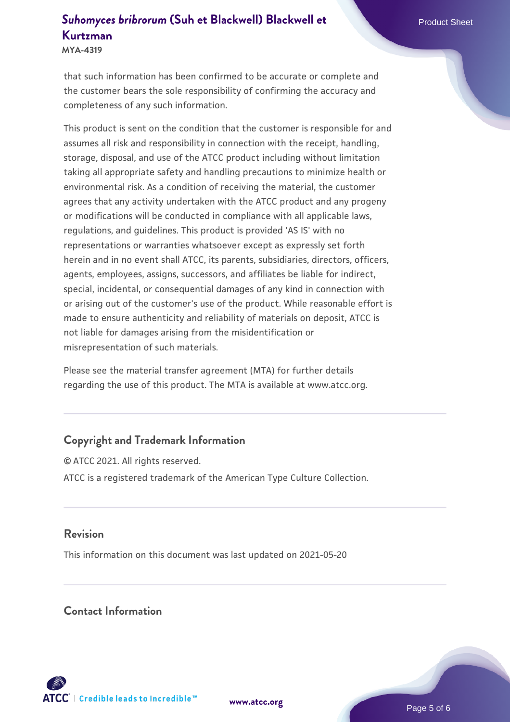# **[Suhomyces bribrorum](https://www.atcc.org/products/mya-4319) [\(Suh et Blackwell\) Blackwell et](https://www.atcc.org/products/mya-4319) Product Sheet [Kurtzman](https://www.atcc.org/products/mya-4319)**

**MYA-4319**

that such information has been confirmed to be accurate or complete and the customer bears the sole responsibility of confirming the accuracy and completeness of any such information.

This product is sent on the condition that the customer is responsible for and assumes all risk and responsibility in connection with the receipt, handling, storage, disposal, and use of the ATCC product including without limitation taking all appropriate safety and handling precautions to minimize health or environmental risk. As a condition of receiving the material, the customer agrees that any activity undertaken with the ATCC product and any progeny or modifications will be conducted in compliance with all applicable laws, regulations, and guidelines. This product is provided 'AS IS' with no representations or warranties whatsoever except as expressly set forth herein and in no event shall ATCC, its parents, subsidiaries, directors, officers, agents, employees, assigns, successors, and affiliates be liable for indirect, special, incidental, or consequential damages of any kind in connection with or arising out of the customer's use of the product. While reasonable effort is made to ensure authenticity and reliability of materials on deposit, ATCC is not liable for damages arising from the misidentification or misrepresentation of such materials.

Please see the material transfer agreement (MTA) for further details regarding the use of this product. The MTA is available at www.atcc.org.

# **Copyright and Trademark Information**

© ATCC 2021. All rights reserved. ATCC is a registered trademark of the American Type Culture Collection.

#### **Revision**

This information on this document was last updated on 2021-05-20

#### **Contact Information**



**[www.atcc.org](http://www.atcc.org)**